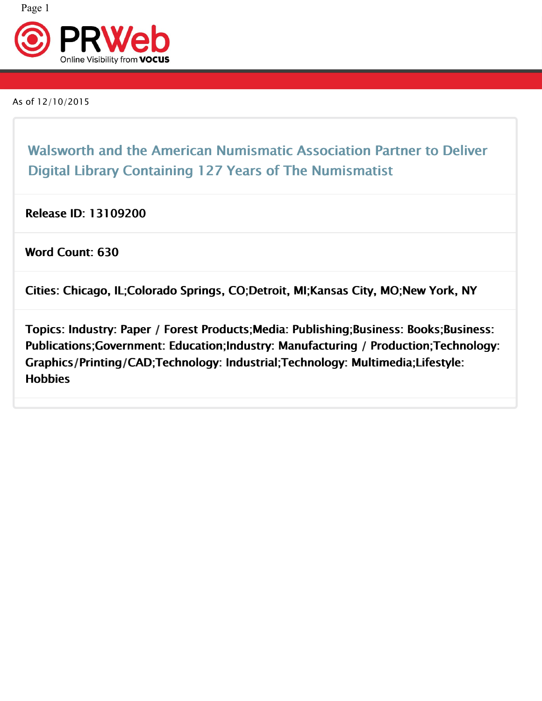

As of 12/10/2015

Walsworth and the American Numismatic Association Partner to Deliver <sub>Ran</sub> Digital Library Containing 127 Years of The Numismatist

Release ID: 13109200

Word Count: 630

Cities: Chicago, IL;Colorado Springs, CO;Detroit, MI;Kansas City, MO;New York, NY

Topics: Industry: Paper / Forest Products;Media: Publishing;Business: Books;Business: | Publications;Government: Education;Industry: Manufacturing / Production;Technology: Graphics/Printing/CAD;Technology: Industrial;Technology: Multimedia;Lifestyle: **Hobbies**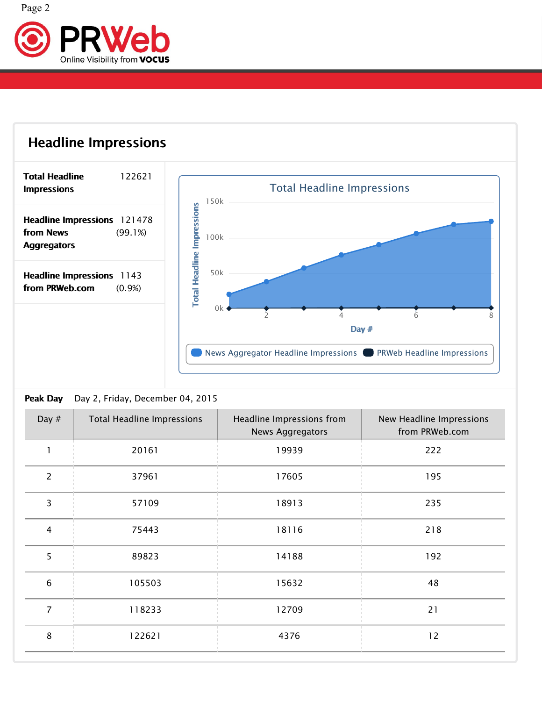



### Peak Day **Day** Day 2, Friday, December 04, 2015 2015

| Day $#$          | <b>Total Headline Impressions</b> | Headline Impressions from<br>News Aggregators | New Headline Impressions<br>from PRWeb.com |
|------------------|-----------------------------------|-----------------------------------------------|--------------------------------------------|
|                  | 20161                             | 19939                                         | 222                                        |
| 2                | 37961                             | 17605                                         | 195                                        |
| 3                | 57109                             | 18913                                         | 235                                        |
| $\overline{4}$   | 75443                             | 18116                                         | 218                                        |
| 5                | 89823                             | 14188                                         | 192                                        |
| $\boldsymbol{6}$ | 105503                            | 15632                                         | 48                                         |
| $\overline{7}$   | 118233                            | 12709                                         | 21                                         |
| 8                | 122621                            | 4376                                          | 12                                         |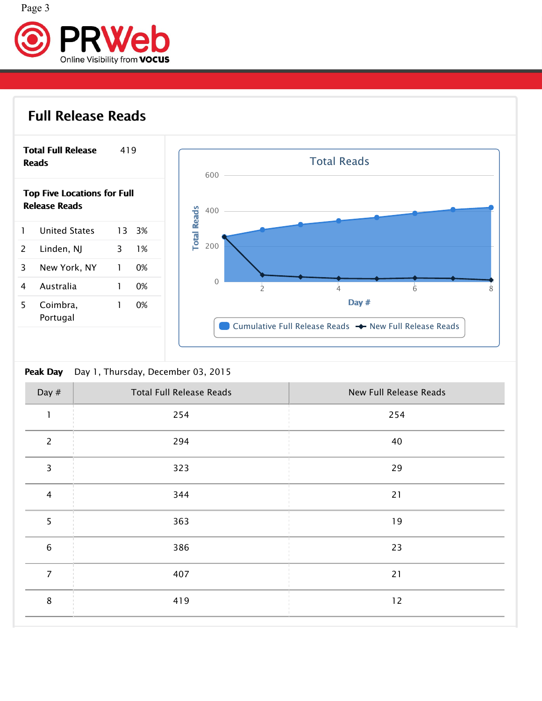

# Full Release





### **Peak Day** Day 1, Thursday, December 03, 2015 2015

| Day $#$         | <b>Total Full Release Reads</b> | New Full Release Reads |
|-----------------|---------------------------------|------------------------|
|                 | 254                             | 254                    |
| $\overline{2}$  | 294                             | 40                     |
| 3               | 323                             | 29                     |
| 4               | 344                             | 21                     |
| 5               | 363                             | 19                     |
| $6\phantom{1}6$ | 386                             | 23                     |
| $\overline{7}$  | 407                             | 21                     |
| 8               | 419                             | 12                     |
|                 |                                 |                        |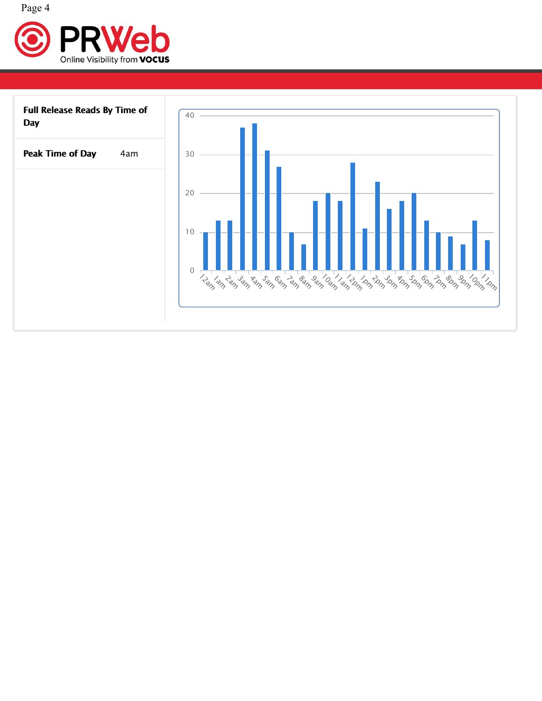

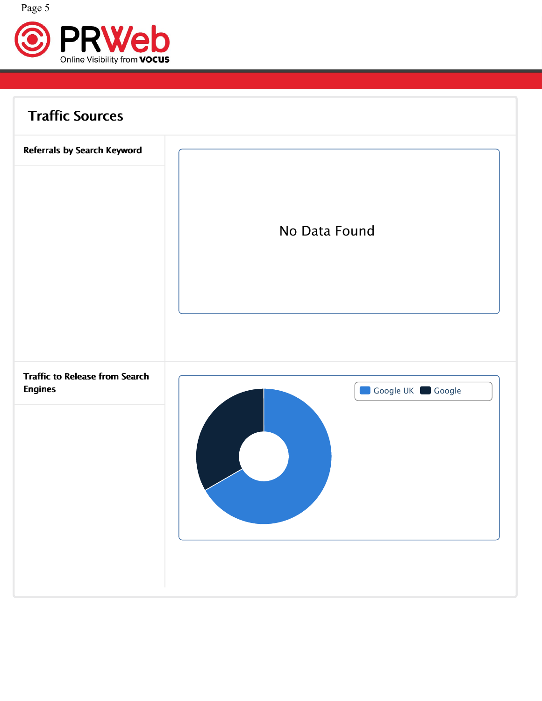

| <b>Traffic Sources</b>                                  |                  |
|---------------------------------------------------------|------------------|
| Referrals by Search Keyword                             | No Data Found    |
| <b>Traffic to Release from Search</b><br><b>Engines</b> | Google UK Google |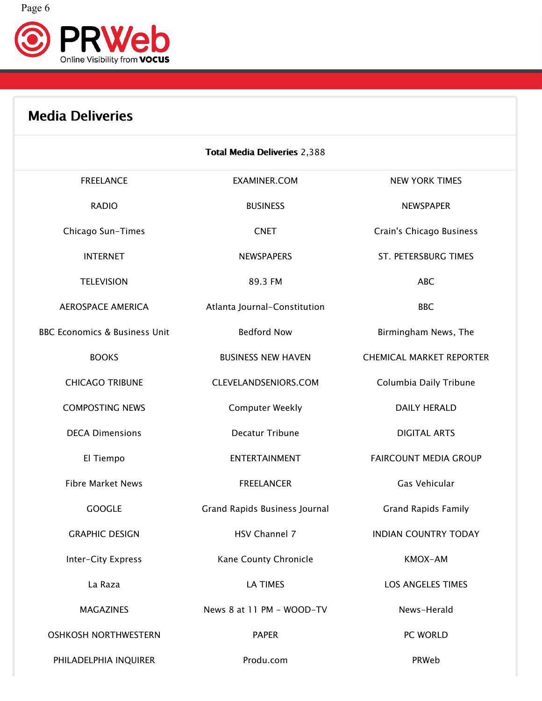



| <b>Media Deliveries</b>                  |                                     |                                 |  |
|------------------------------------------|-------------------------------------|---------------------------------|--|
|                                          | <b>Total Media Deliveries 2,388</b> |                                 |  |
| <b>FREELANCE</b>                         | <b>EXAMINER.COM</b>                 | <b>NEW YORK TIMES</b>           |  |
| <b>RADIO</b>                             | <b>BUSINESS</b>                     | <b>NEWSPAPER</b>                |  |
| Chicago Sun-Times                        | <b>CNET</b>                         | Crain's Chicago Business        |  |
| <b>INTERNET</b>                          | <b>NEWSPAPERS</b>                   | ST. PETERSBURG TIMES            |  |
| <b>TELEVISION</b>                        | 89.3 FM                             | <b>ABC</b>                      |  |
| <b>AEROSPACE AMERICA</b>                 | Atlanta Journal-Constitution        | <b>BBC</b>                      |  |
| <b>BBC Economics &amp; Business Unit</b> | <b>Bedford Now</b>                  | Birmingham News, The            |  |
| <b>BOOKS</b>                             | <b>BUSINESS NEW HAVEN</b>           | <b>CHEMICAL MARKET REPORTER</b> |  |
| <b>CHICAGO TRIBUNE</b>                   | CLEVELANDSENIORS.COM                | Columbia Daily Tribune          |  |
| <b>COMPOSTING NEWS</b>                   | <b>Computer Weekly</b>              | <b>DAILY HERALD</b>             |  |
| <b>DECA Dimensions</b>                   | Decatur Tribune                     | <b>DIGITAL ARTS</b>             |  |
| El Tiempo                                | ENTERTAINMENT                       | FAIRCOUNT MEDIA GROUP           |  |
| <b>Fibre Market News</b>                 | <b>FREELANCER</b>                   | Gas Vehicular                   |  |
| <b>GOOGLE</b>                            | Grand Rapids Business Journal       | <b>Grand Rapids Family</b>      |  |
| <b>GRAPHIC DESIGN</b>                    | HSV Channel 7                       | <b>INDIAN COUNTRY TODAY</b>     |  |
| Inter-City Express                       | Kane County Chronicle               | KMOX-AM                         |  |
| La Raza                                  | LA TIMES                            | LOS ANGELES TIMES               |  |
| <b>MAGAZINES</b>                         | News 8 at 11 PM - WOOD-TV           | News-Herald                     |  |
| <b>OSHKOSH NORTHWESTERN</b>              | <b>PAPER</b>                        | PC WORLD                        |  |
| PHILADELPHIA INQUIRER                    | Produ.com                           | PRWeb                           |  |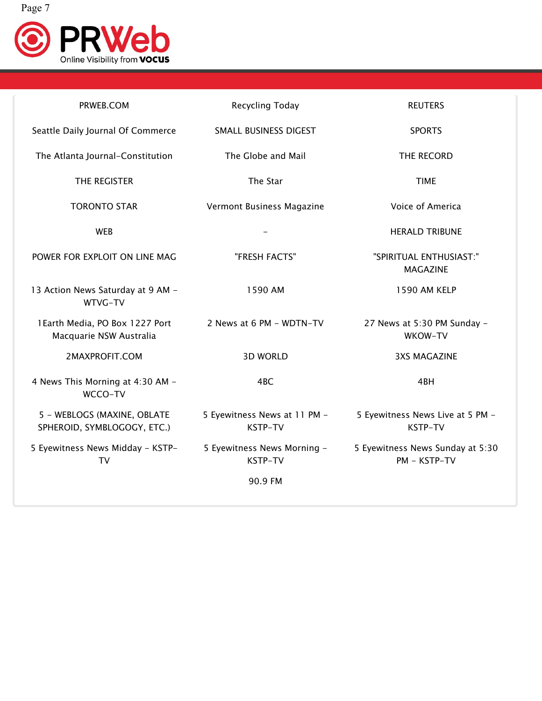

| PRWEB.COM                                                  | Recycling Today                         | <b>REUTERS</b>                                   |  |
|------------------------------------------------------------|-----------------------------------------|--------------------------------------------------|--|
| Seattle Daily Journal Of Commerce                          | SMALL BUSINESS DIGEST                   | <b>SPORTS</b>                                    |  |
| The Atlanta Journal-Constitution                           | The Globe and Mail                      | THE RECORD                                       |  |
| THE REGISTER                                               | The Star                                | <b>TIME</b>                                      |  |
| <b>TORONTO STAR</b>                                        | Vermont Business Magazine               | Voice of America                                 |  |
| <b>WEB</b>                                                 |                                         | <b>HERALD TRIBUNE</b>                            |  |
| POWER FOR EXPLOIT ON LINE MAG                              | "FRESH FACTS"                           | "SPIRITUAL ENTHUSIAST:"<br><b>MAGAZINE</b>       |  |
| 13 Action News Saturday at 9 AM -<br>WTVG-TV               | 1590 AM                                 | 1590 AM KELP                                     |  |
| 1Earth Media, PO Box 1227 Port<br>Macquarie NSW Australia  | 2 News at 6 PM - WDTN-TV                | 27 News at 5:30 PM Sunday -<br>WKOW-TV           |  |
| 2MAXPROFIT.COM                                             | <b>3D WORLD</b>                         | <b>3XS MAGAZINE</b>                              |  |
| 4 News This Morning at 4:30 AM -<br>WCCO-TV                | 4BC                                     | 4BH                                              |  |
| 5 - WEBLOGS (MAXINE, OBLATE<br>SPHEROID, SYMBLOGOGY, ETC.) | 5 Eyewitness News at 11 PM -<br>KSTP-TV | 5 Eyewitness News Live at 5 PM -<br>KSTP-TV      |  |
| 5 Eyewitness News Midday - KSTP-<br><b>TV</b>              | 5 Eyewitness News Morning -<br>KSTP-TV  | 5 Eyewitness News Sunday at 5:30<br>PM - KSTP-TV |  |
|                                                            | 90.9 FM                                 |                                                  |  |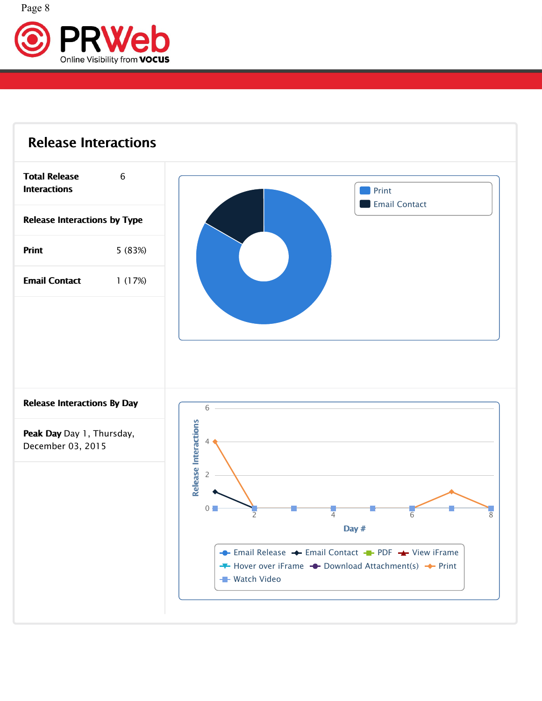

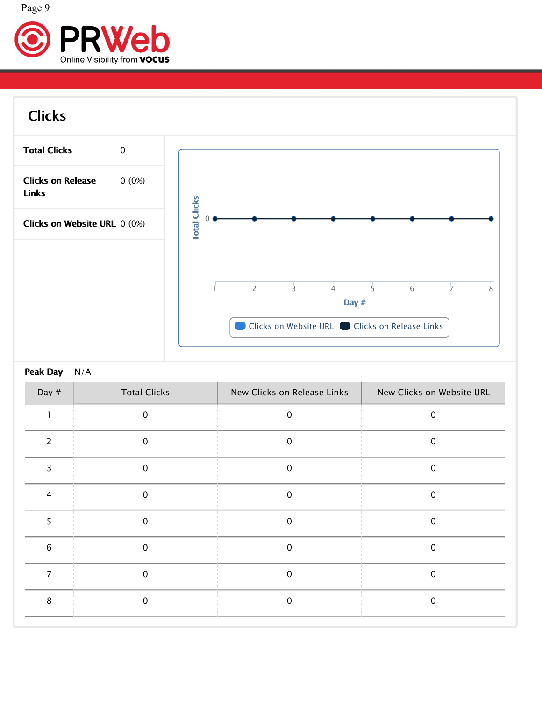



# Clicks



### Peak Day N/A

| Day $#$ | <b>Total Clicks</b> | New Clicks on Release Links | New Clicks on Website URL |
|---------|---------------------|-----------------------------|---------------------------|
|         | $\mathbf{0}$        | $\mathbf 0$                 | $\mathbf 0$               |
|         | 0                   | $\mathbf 0$                 | $\mathbf 0$               |
|         | 0                   | $\mathbf 0$                 | $\mathbf 0$               |
|         | $\mathbf 0$         | $\boldsymbol{0}$            | $\overline{0}$            |
|         | $\mathbf 0$         | $\pmb{0}$                   | $\mathbf 0$               |
| 6       | $\mathbf 0$         | $\pmb{0}$                   | $\mathbf 0$               |
|         | $\mathbf 0$         | $\mathbf 0$                 | $\mathbf 0$               |
| 8       | $\Omega$            | $\mathbf 0$                 | $\mathbf{0}$              |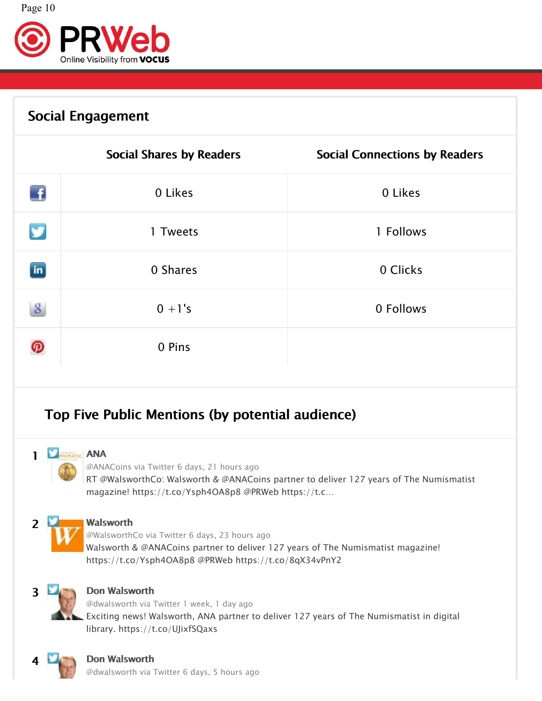

# Social Engagement

|               | <b>Social Shares by Readers</b> | <b>Social Connections by Readers</b> |
|---------------|---------------------------------|--------------------------------------|
| $\mathbf{f}$  | 0 Likes                         | 0 Likes                              |
| y             | 1 Tweets                        | 1 Follows                            |
| $\mathbf{in}$ | 0 Shares                        | 0 Clicks                             |
| $\mathbf{g}$  | $0 + 1's$                       | 0 Follows                            |
| ၐ             | 0 Pins                          |                                      |

# Top Five Public Mentions (by potential audience)



[@ANACoins](http://twitter.com/ANACoins) via [Twitter](http://twitter.com/ANACoins/statuses/672540024911618048) 6 days, 21 hours ago

RT @WalsworthCo: Walsworth & @ANACoins partner to deliver 127 years of The Numismatist magazine! https://t.co/Ysph4OA8p8 @PRWeb https://t.c…



2 [Walsworth](http://twitter.com/WalsworthCo) 2 Walsworth [@WalsworthCo](http://twitter.com/WalsworthCo) via Twitter 6 days, 23 hours ago ago Walsworth & @ANACoins partner to deliver 127 years of The Numismatist magazine! https://t.co/Ysph4OA8p8 @PRWeb https://t.co/8qX34vPnY2



### 3 Don [Walsworth](http://twitter.com/dwalsworth)

[@dwalsworth](http://twitter.com/dwalsworth) via Twitter 1 week, 1 day ago ago Exciting news! Walsworth, ANA partner to deliver 127 years of The Numismatist in digital library. https://t.co/UJixfSQaxs



### 4 Don [Walsworth](http://twitter.com/dwalsworth)

[@dwalsworth](http://twitter.com/dwalsworth) via [Twitter](http://twitter.com/dwalsworth/statuses/672782664756170752) 6 days, 5 hours ago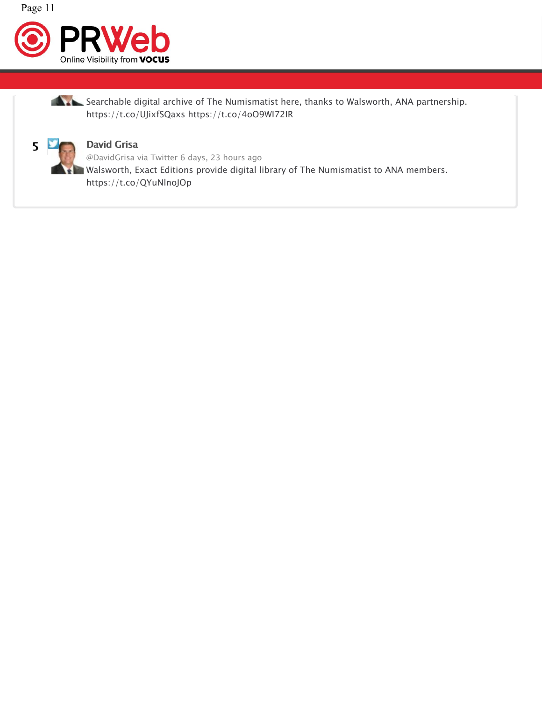



Searchable digital archive of The Numismatist here, thanks to Walsworth, ANA partnership.  $\hspace{0.2cm}$ https://t.co/UJixfSQaxs https://t.co/4oO9WI72IR



### **Grisa** and the contract of the contract of the contract of the contract of the contract of the contract of the contract of the contract of the contract of the contract of the contract of the contract of the contract of th

[@DavidGrisa](http://twitter.com/DavidGrisa) via Twitter 6 days, 23 hours ago ago Walsworth, Exact Editions provide digital library of The Numismatist to ANA members.  $\hspace{0.1em}$ https://t.co/QYuNlnoJOp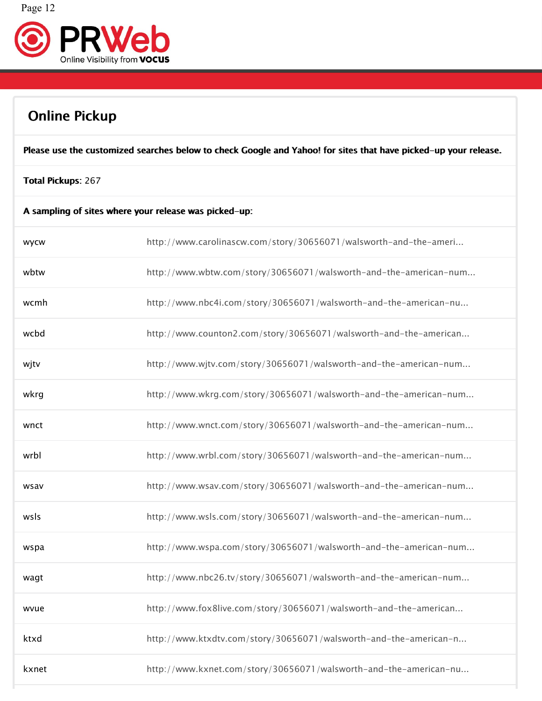



### Online Pickup

Please use the customized searches below to check Google and Yahoo! for sites that have picked–up your release.

### Total Pickups: 267

| A sampling of sites where your release was picked-up: |  |
|-------------------------------------------------------|--|
|-------------------------------------------------------|--|

| <b>WYCW</b> | http://www.carolinascw.com/story/30656071/walsworth-and-the-ameri |
|-------------|-------------------------------------------------------------------|
| wbtw        | http://www.wbtw.com/story/30656071/walsworth-and-the-american-num |
| wcmh        | http://www.nbc4i.com/story/30656071/walsworth-and-the-american-nu |
| wcbd        | http://www.counton2.com/story/30656071/walsworth-and-the-american |
| wjtv        | http://www.wjtv.com/story/30656071/walsworth-and-the-american-num |
| wkrg        | http://www.wkrg.com/story/30656071/walsworth-and-the-american-num |
| wnct        | http://www.wnct.com/story/30656071/walsworth-and-the-american-num |
| wrbl        | http://www.wrbl.com/story/30656071/walsworth-and-the-american-num |
| wsav        | http://www.wsav.com/story/30656071/walsworth-and-the-american-num |
| wsls        | http://www.wsls.com/story/30656071/walsworth-and-the-american-num |
| wspa        | http://www.wspa.com/story/30656071/walsworth-and-the-american-num |
| wagt        | http://www.nbc26.tv/story/30656071/walsworth-and-the-american-num |
| wvue        | http://www.fox8live.com/story/30656071/walsworth-and-the-american |
| ktxd        | http://www.ktxdtv.com/story/30656071/walsworth-and-the-american-n |
| kxnet       | http://www.kxnet.com/story/30656071/walsworth-and-the-american-nu |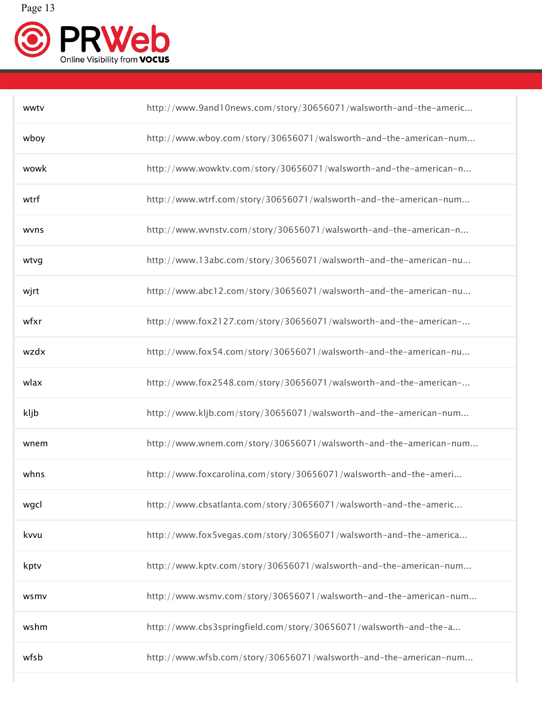

| wwtv | http://www.9and10news.com/story/30656071/walsworth-and-the-americ |
|------|-------------------------------------------------------------------|
| wboy | http://www.wboy.com/story/30656071/walsworth-and-the-american-num |
| wowk | http://www.wowktv.com/story/30656071/walsworth-and-the-american-n |
| wtrf | http://www.wtrf.com/story/30656071/walsworth-and-the-american-num |
| wvns | http://www.wvnstv.com/story/30656071/walsworth-and-the-american-n |
| wtvg | http://www.13abc.com/story/30656071/walsworth-and-the-american-nu |
| wjrt | http://www.abc12.com/story/30656071/walsworth-and-the-american-nu |
| wfxr | http://www.fox2127.com/story/30656071/walsworth-and-the-american- |
| wzdx | http://www.fox54.com/story/30656071/walsworth-and-the-american-nu |
| wlax | http://www.fox2548.com/story/30656071/walsworth-and-the-american- |
| kljb | http://www.kljb.com/story/30656071/walsworth-and-the-american-num |
| wnem | http://www.wnem.com/story/30656071/walsworth-and-the-american-num |
| whns | http://www.foxcarolina.com/story/30656071/walsworth-and-the-ameri |
| wgcl | http://www.cbsatlanta.com/story/30656071/walsworth-and-the-americ |
| kvvu | http://www.fox5vegas.com/story/30656071/walsworth-and-the-america |
| kptv | http://www.kptv.com/story/30656071/walsworth-and-the-american-num |
| wsmv | http://www.wsmv.com/story/30656071/walsworth-and-the-american-num |
| wshm | http://www.cbs3springfield.com/story/30656071/walsworth-and-the-a |
| wfsb | http://www.wfsb.com/story/30656071/walsworth-and-the-american-num |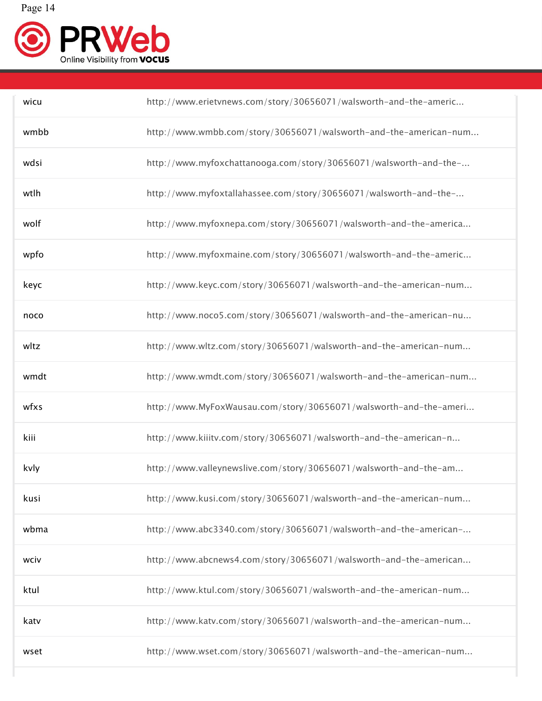

| wicu | http://www.erietvnews.com/story/30656071/walsworth-and-the-americ |
|------|-------------------------------------------------------------------|
| wmbb | http://www.wmbb.com/story/30656071/walsworth-and-the-american-num |
| wdsi | http://www.myfoxchattanooga.com/story/30656071/walsworth-and-the- |
| wtlh | http://www.myfoxtallahassee.com/story/30656071/walsworth-and-the- |
| wolf | http://www.myfoxnepa.com/story/30656071/walsworth-and-the-america |
| wpfo | http://www.myfoxmaine.com/story/30656071/walsworth-and-the-americ |
| keyc | http://www.keyc.com/story/30656071/walsworth-and-the-american-num |
| noco | http://www.noco5.com/story/30656071/walsworth-and-the-american-nu |
| wltz | http://www.wltz.com/story/30656071/walsworth-and-the-american-num |
| wmdt | http://www.wmdt.com/story/30656071/walsworth-and-the-american-num |
| wfxs | http://www.MyFoxWausau.com/story/30656071/walsworth-and-the-ameri |
| kiii | http://www.kiiitv.com/story/30656071/walsworth-and-the-american-n |
| kvly | http://www.valleynewslive.com/story/30656071/walsworth-and-the-am |
| kusi | http://www.kusi.com/story/30656071/walsworth-and-the-american-num |
| wbma | http://www.abc3340.com/story/30656071/walsworth-and-the-american- |
| wciv | http://www.abcnews4.com/story/30656071/walsworth-and-the-american |
| ktul | http://www.ktul.com/story/30656071/walsworth-and-the-american-num |
| katv | http://www.katv.com/story/30656071/walsworth-and-the-american-num |
| wset | http://www.wset.com/story/30656071/walsworth-and-the-american-num |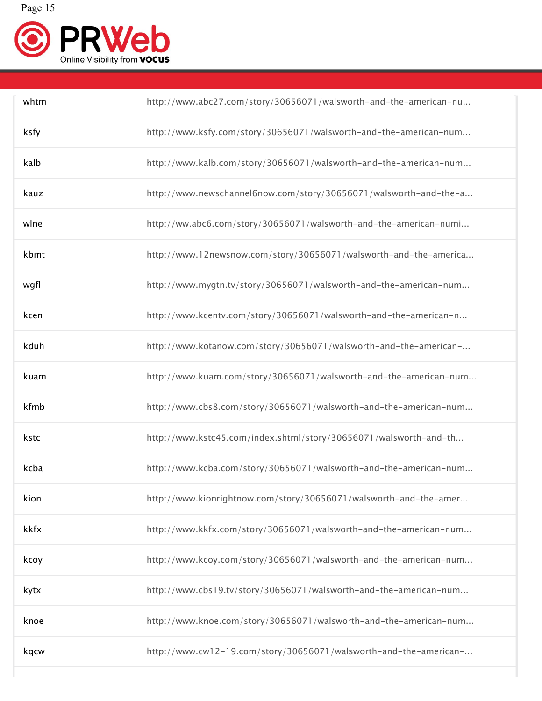

| whtm | http://www.abc27.com/story/30656071/walsworth-and-the-american-nu |
|------|-------------------------------------------------------------------|
| ksfy | http://www.ksfy.com/story/30656071/walsworth-and-the-american-num |
| kalb | http://www.kalb.com/story/30656071/walsworth-and-the-american-num |
| kauz | http://www.newschannel6now.com/story/30656071/walsworth-and-the-a |
| wlne | http://ww.abc6.com/story/30656071/walsworth-and-the-american-numi |
| kbmt | http://www.12newsnow.com/story/30656071/walsworth-and-the-america |
| wgfl | http://www.mygtn.tv/story/30656071/walsworth-and-the-american-num |
| kcen | http://www.kcentv.com/story/30656071/walsworth-and-the-american-n |
| kduh | http://www.kotanow.com/story/30656071/walsworth-and-the-american- |
| kuam | http://www.kuam.com/story/30656071/walsworth-and-the-american-num |
| kfmb | http://www.cbs8.com/story/30656071/walsworth-and-the-american-num |
| kstc | http://www.kstc45.com/index.shtml/story/30656071/walsworth-and-th |
| kcba | http://www.kcba.com/story/30656071/walsworth-and-the-american-num |
| kion | http://www.kionrightnow.com/story/30656071/walsworth-and-the-amer |
| kkfx | http://www.kkfx.com/story/30656071/walsworth-and-the-american-num |
| kcoy | http://www.kcoy.com/story/30656071/walsworth-and-the-american-num |
| kytx | http://www.cbs19.tv/story/30656071/walsworth-and-the-american-num |
| knoe | http://www.knoe.com/story/30656071/walsworth-and-the-american-num |
| kqcw | http://www.cw12-19.com/story/30656071/walsworth-and-the-american- |
|      |                                                                   |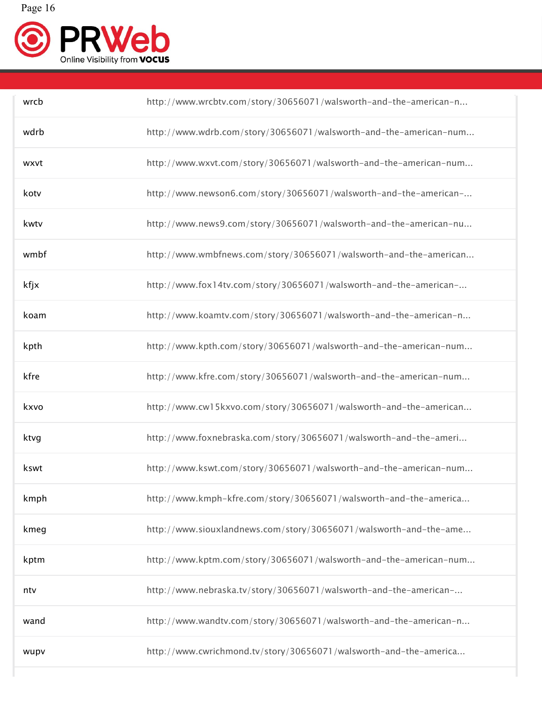

| wrcb | http://www.wrcbtv.com/story/30656071/walsworth-and-the-american-n |
|------|-------------------------------------------------------------------|
| wdrb | http://www.wdrb.com/story/30656071/walsworth-and-the-american-num |
| wxvt | http://www.wxvt.com/story/30656071/walsworth-and-the-american-num |
| kotv | http://www.newson6.com/story/30656071/walsworth-and-the-american- |
| kwtv | http://www.news9.com/story/30656071/walsworth-and-the-american-nu |
| wmbf | http://www.wmbfnews.com/story/30656071/walsworth-and-the-american |
| kfjx | http://www.fox14tv.com/story/30656071/walsworth-and-the-american- |
| koam | http://www.koamtv.com/story/30656071/walsworth-and-the-american-n |
| kpth | http://www.kpth.com/story/30656071/walsworth-and-the-american-num |
| kfre | http://www.kfre.com/story/30656071/walsworth-and-the-american-num |
| kxvo | http://www.cw15kxvo.com/story/30656071/walsworth-and-the-american |
| ktvg | http://www.foxnebraska.com/story/30656071/walsworth-and-the-ameri |
| kswt | http://www.kswt.com/story/30656071/walsworth-and-the-american-num |
| kmph | http://www.kmph-kfre.com/story/30656071/walsworth-and-the-america |
| kmeg | http://www.siouxlandnews.com/story/30656071/walsworth-and-the-ame |
| kptm | http://www.kptm.com/story/30656071/walsworth-and-the-american-num |
| ntv  | http://www.nebraska.tv/story/30656071/walsworth-and-the-american- |
| wand | http://www.wandtv.com/story/30656071/walsworth-and-the-american-n |
| wupv | http://www.cwrichmond.tv/story/30656071/walsworth-and-the-america |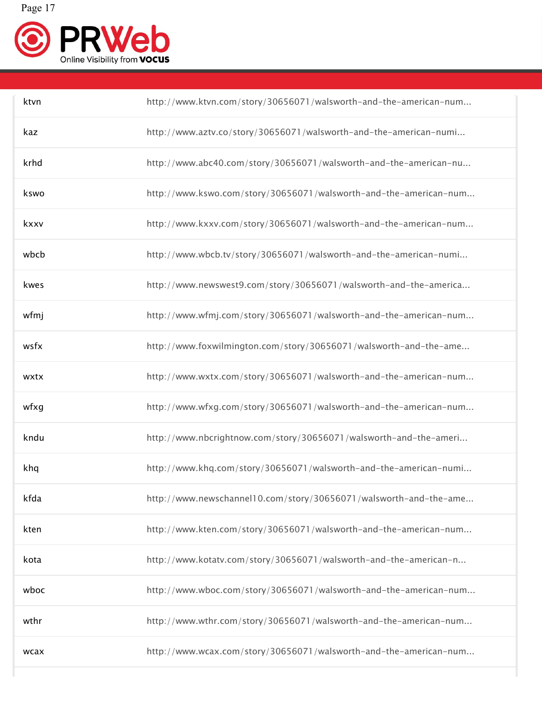

| ktvn | http://www.ktvn.com/story/30656071/walsworth-and-the-american-num |
|------|-------------------------------------------------------------------|
| kaz  | http://www.aztv.co/story/30656071/walsworth-and-the-american-numi |
| krhd | http://www.abc40.com/story/30656071/walsworth-and-the-american-nu |
| kswo | http://www.kswo.com/story/30656071/walsworth-and-the-american-num |
| kxxv | http://www.kxxv.com/story/30656071/walsworth-and-the-american-num |
| wbcb | http://www.wbcb.tv/story/30656071/walsworth-and-the-american-numi |
| kwes | http://www.newswest9.com/story/30656071/walsworth-and-the-america |
| wfmj | http://www.wfmj.com/story/30656071/walsworth-and-the-american-num |
| wsfx | http://www.foxwilmington.com/story/30656071/walsworth-and-the-ame |
| wxtx | http://www.wxtx.com/story/30656071/walsworth-and-the-american-num |
| wfxg | http://www.wfxg.com/story/30656071/walsworth-and-the-american-num |
| kndu | http://www.nbcrightnow.com/story/30656071/walsworth-and-the-ameri |
| khq  | http://www.khq.com/story/30656071/walsworth-and-the-american-numi |
| kfda | http://www.newschannel10.com/story/30656071/walsworth-and-the-ame |
| kten | http://www.kten.com/story/30656071/walsworth-and-the-american-num |
| kota | http://www.kotatv.com/story/30656071/walsworth-and-the-american-n |
| wboc | http://www.wboc.com/story/30656071/walsworth-and-the-american-num |
| wthr | http://www.wthr.com/story/30656071/walsworth-and-the-american-num |
| wcax | http://www.wcax.com/story/30656071/walsworth-and-the-american-num |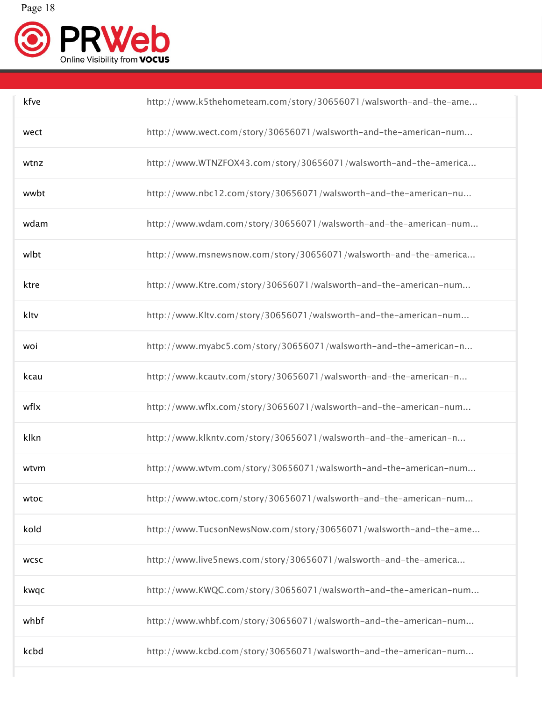

| kfve        | http://www.k5thehometeam.com/story/30656071/walsworth-and-the-ame |
|-------------|-------------------------------------------------------------------|
| wect        | http://www.wect.com/story/30656071/walsworth-and-the-american-num |
| wtnz        | http://www.WTNZFOX43.com/story/30656071/walsworth-and-the-america |
| wwbt        | http://www.nbc12.com/story/30656071/walsworth-and-the-american-nu |
| wdam        | http://www.wdam.com/story/30656071/walsworth-and-the-american-num |
| wlbt        | http://www.msnewsnow.com/story/30656071/walsworth-and-the-america |
| ktre        | http://www.Ktre.com/story/30656071/walsworth-and-the-american-num |
| kltv        | http://www.Kltv.com/story/30656071/walsworth-and-the-american-num |
| woi         | http://www.myabc5.com/story/30656071/walsworth-and-the-american-n |
| kcau        | http://www.kcautv.com/story/30656071/walsworth-and-the-american-n |
| wflx        | http://www.wflx.com/story/30656071/walsworth-and-the-american-num |
| klkn        | http://www.klkntv.com/story/30656071/walsworth-and-the-american-n |
| wtvm        | http://www.wtvm.com/story/30656071/walsworth-and-the-american-num |
| wtoc        | http://www.wtoc.com/story/30656071/walsworth-and-the-american-num |
| kold        | http://www.TucsonNewsNow.com/story/30656071/walsworth-and-the-ame |
| <b>WCSC</b> | http://www.live5news.com/story/30656071/walsworth-and-the-america |
| kwqc        | http://www.KWQC.com/story/30656071/walsworth-and-the-american-num |
| whbf        | http://www.whbf.com/story/30656071/walsworth-and-the-american-num |
| kcbd        | http://www.kcbd.com/story/30656071/walsworth-and-the-american-num |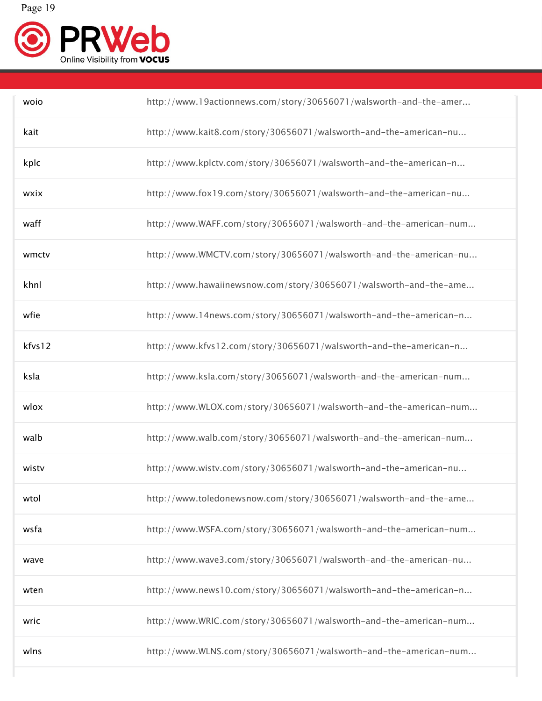

| woio   | http://www.19actionnews.com/story/30656071/walsworth-and-the-amer |
|--------|-------------------------------------------------------------------|
| kait   | http://www.kait8.com/story/30656071/walsworth-and-the-american-nu |
| kplc   | http://www.kplctv.com/story/30656071/walsworth-and-the-american-n |
| wxix   | http://www.fox19.com/story/30656071/walsworth-and-the-american-nu |
| waff   | http://www.WAFF.com/story/30656071/walsworth-and-the-american-num |
| wmctv  | http://www.WMCTV.com/story/30656071/walsworth-and-the-american-nu |
| khnl   | http://www.hawaiinewsnow.com/story/30656071/walsworth-and-the-ame |
| wfie   | http://www.14news.com/story/30656071/walsworth-and-the-american-n |
| kfvs12 | http://www.kfvs12.com/story/30656071/walsworth-and-the-american-n |
| ksla   | http://www.ksla.com/story/30656071/walsworth-and-the-american-num |
| wlox   | http://www.WLOX.com/story/30656071/walsworth-and-the-american-num |
| walb   | http://www.walb.com/story/30656071/walsworth-and-the-american-num |
| wistv  | http://www.wistv.com/story/30656071/walsworth-and-the-american-nu |
| wtol   | http://www.toledonewsnow.com/story/30656071/walsworth-and-the-ame |
| wsfa   | http://www.WSFA.com/story/30656071/walsworth-and-the-american-num |
| wave   | http://www.wave3.com/story/30656071/walsworth-and-the-american-nu |
| wten   | http://www.news10.com/story/30656071/walsworth-and-the-american-n |
| wric   | http://www.WRIC.com/story/30656071/walsworth-and-the-american-num |
| wlns   | http://www.WLNS.com/story/30656071/walsworth-and-the-american-num |

٦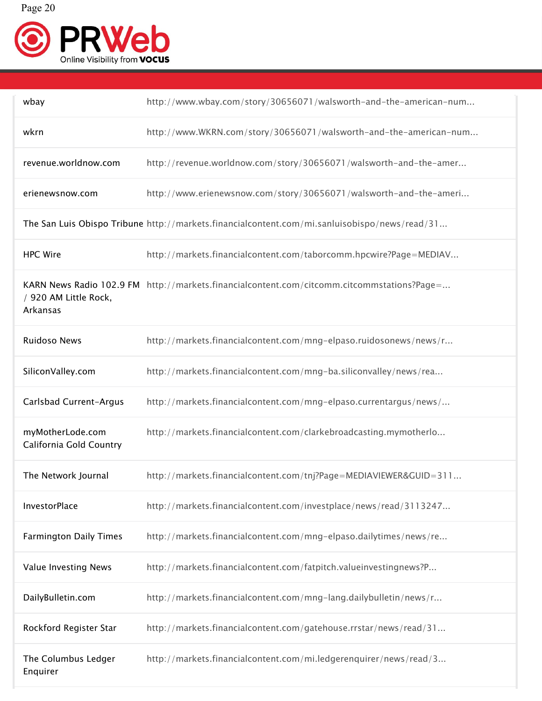

| wbay                                        | http://www.wbay.com/story/30656071/walsworth-and-the-american-num                             |
|---------------------------------------------|-----------------------------------------------------------------------------------------------|
| wkrn                                        | http://www.WKRN.com/story/30656071/walsworth-and-the-american-num                             |
| revenue.worldnow.com                        | http://revenue.worldnow.com/story/30656071/walsworth-and-the-amer                             |
| erienewsnow.com                             | http://www.erienewsnow.com/story/30656071/walsworth-and-the-ameri                             |
|                                             | The San Luis Obispo Tribune http://markets.financialcontent.com/mi.sanluisobispo/news/read/31 |
| <b>HPC Wire</b>                             | http://markets.financialcontent.com/taborcomm.hpcwire?Page=MEDIAV                             |
| / 920 AM Little Rock,<br>Arkansas           | KARN News Radio 102.9 FM http://markets.financialcontent.com/citcomm.citcommstations?Page=    |
| <b>Ruidoso News</b>                         | http://markets.financialcontent.com/mng-elpaso.ruidosonews/news/r                             |
| SiliconValley.com                           | http://markets.financialcontent.com/mng-ba.siliconvalley/news/rea                             |
| Carlsbad Current-Argus                      | http://markets.financialcontent.com/mng-elpaso.currentargus/news/                             |
| myMotherLode.com<br>California Gold Country | http://markets.financialcontent.com/clarkebroadcasting.mymotherlo                             |
| The Network Journal                         | http://markets.financialcontent.com/tnj?Page=MEDIAVIEWER&GUID=311                             |
| InvestorPlace                               | http://markets.financialcontent.com/investplace/news/read/3113247                             |
| <b>Farmington Daily Times</b>               | http://markets.financialcontent.com/mng-elpaso.dailytimes/news/re                             |
| Value Investing News                        | http://markets.financialcontent.com/fatpitch.valueinvestingnews?P                             |
| DailyBulletin.com                           | http://markets.financialcontent.com/mng-lang.dailybulletin/news/r                             |
| Rockford Register Star                      | http://markets.financialcontent.com/gatehouse.rrstar/news/read/31                             |
| The Columbus Ledger<br>Enquirer             | http://markets.financialcontent.com/mi.ledgerenquirer/news/read/3                             |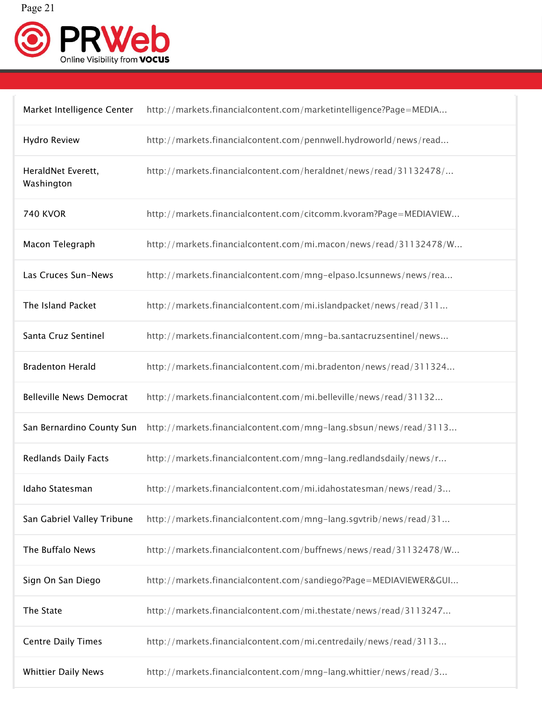

| Market Intelligence Center       | http://markets.financialcontent.com/marketintelligence?Page=MEDIA                           |
|----------------------------------|---------------------------------------------------------------------------------------------|
| Hydro Review                     | http://markets.financialcontent.com/pennwell.hydroworld/news/read                           |
| HeraldNet Everett,<br>Washington | http://markets.financialcontent.com/heraldnet/news/read/31132478/                           |
| <b>740 KVOR</b>                  | http://markets.financialcontent.com/citcomm.kvoram?Page=MEDIAVIEW                           |
| Macon Telegraph                  | http://markets.financialcontent.com/mi.macon/news/read/31132478/W                           |
| Las Cruces Sun-News              | http://markets.financialcontent.com/mng-elpaso.lcsunnews/news/rea                           |
| The Island Packet                | http://markets.financialcontent.com/mi.islandpacket/news/read/311                           |
| Santa Cruz Sentinel              | http://markets.financialcontent.com/mng-ba.santacruzsentinel/news                           |
| <b>Bradenton Herald</b>          | http://markets.financialcontent.com/mi.bradenton/news/read/311324                           |
| <b>Belleville News Democrat</b>  | http://markets.financialcontent.com/mi.belleville/news/read/31132                           |
|                                  | San Bernardino County Sun http://markets.financialcontent.com/mng-lang.sbsun/news/read/3113 |
| <b>Redlands Daily Facts</b>      | http://markets.financialcontent.com/mng-lang.redlandsdaily/news/r                           |
| Idaho Statesman                  | http://markets.financialcontent.com/mi.idahostatesman/news/read/3                           |
| San Gabriel Valley Tribune       | http://markets.financialcontent.com/mng-lang.sgvtrib/news/read/31                           |
| The Buffalo News                 | http://markets.financialcontent.com/buffnews/news/read/31132478/W                           |
| Sign On San Diego                | http://markets.financialcontent.com/sandiego?Page=MEDIAVIEWER&GUI                           |
| The State                        | http://markets.financialcontent.com/mi.thestate/news/read/3113247                           |
| <b>Centre Daily Times</b>        | http://markets.financialcontent.com/mi.centredaily/news/read/3113                           |
| <b>Whittier Daily News</b>       | http://markets.financialcontent.com/mng-lang.whittier/news/read/3                           |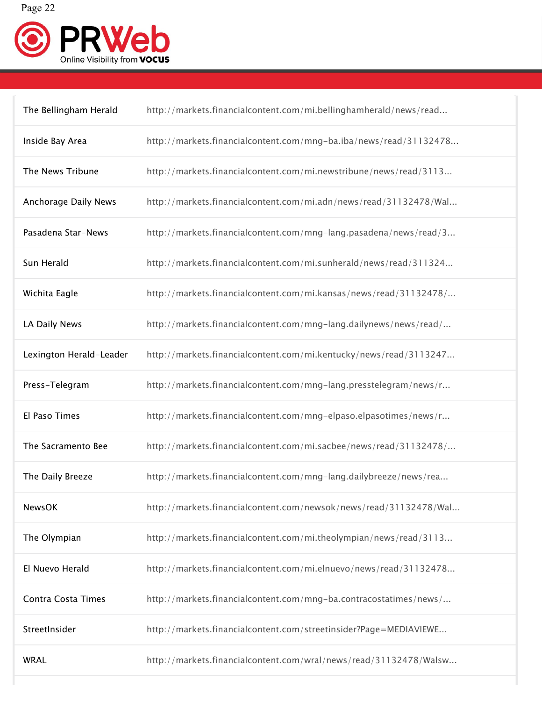

| The Bellingham Herald   | http://markets.financialcontent.com/mi.bellinghamherald/news/read |
|-------------------------|-------------------------------------------------------------------|
| Inside Bay Area         | http://markets.financialcontent.com/mng-ba.iba/news/read/31132478 |
| The News Tribune        | http://markets.financialcontent.com/mi.newstribune/news/read/3113 |
| Anchorage Daily News    | http://markets.financialcontent.com/mi.adn/news/read/31132478/Wal |
| Pasadena Star-News      | http://markets.financialcontent.com/mng-lang.pasadena/news/read/3 |
| Sun Herald              | http://markets.financialcontent.com/mi.sunherald/news/read/311324 |
| Wichita Eagle           | http://markets.financialcontent.com/mi.kansas/news/read/31132478/ |
| LA Daily News           | http://markets.financialcontent.com/mng-lang.dailynews/news/read/ |
| Lexington Herald-Leader | http://markets.financialcontent.com/mi.kentucky/news/read/3113247 |
| Press-Telegram          | http://markets.financialcontent.com/mng-lang.presstelegram/news/r |
| El Paso Times           | http://markets.financialcontent.com/mng-elpaso.elpasotimes/news/r |
| The Sacramento Bee      | http://markets.financialcontent.com/mi.sacbee/news/read/31132478/ |
| The Daily Breeze        | http://markets.financialcontent.com/mng-lang.dailybreeze/news/rea |
| <b>NewsOK</b>           | http://markets.financialcontent.com/newsok/news/read/31132478/Wal |
| The Olympian            | http://markets.financialcontent.com/mi.theolympian/news/read/3113 |
| El Nuevo Herald         | http://markets.financialcontent.com/mi.elnuevo/news/read/31132478 |
| Contra Costa Times      | http://markets.financialcontent.com/mng-ba.contracostatimes/news/ |
| StreetInsider           | http://markets.financialcontent.com/streetinsider?Page=MEDIAVIEWE |
| <b>WRAL</b>             | http://markets.financialcontent.com/wral/news/read/31132478/Walsw |
|                         |                                                                   |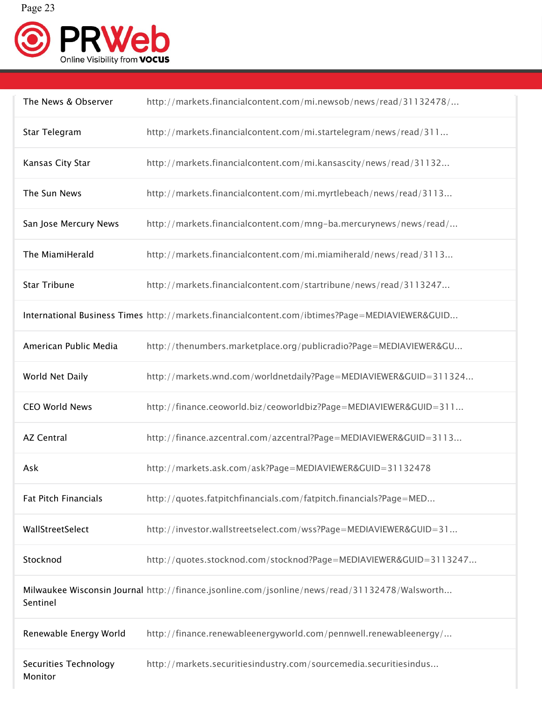

| The News & Observer              | http://markets.financialcontent.com/mi.newsob/news/read/31132478/                              |
|----------------------------------|------------------------------------------------------------------------------------------------|
| Star Telegram                    | http://markets.financialcontent.com/mi.startelegram/news/read/311                              |
| Kansas City Star                 | http://markets.financialcontent.com/mi.kansascity/news/read/31132                              |
| The Sun News                     | http://markets.financialcontent.com/mi.myrtlebeach/news/read/3113                              |
| San Jose Mercury News            | http://markets.financialcontent.com/mng-ba.mercurynews/news/read/                              |
| The MiamiHerald                  | http://markets.financialcontent.com/mi.miamiherald/news/read/3113                              |
| <b>Star Tribune</b>              | http://markets.financialcontent.com/startribune/news/read/3113247                              |
|                                  | International Business Times http://markets.financialcontent.com/ibtimes?Page=MEDIAVIEWER&GUID |
| American Public Media            | http://thenumbers.marketplace.org/publicradio?Page=MEDIAVIEWER&GU                              |
| World Net Daily                  | http://markets.wnd.com/worldnetdaily?Page=MEDIAVIEWER&GUID=311324                              |
| CEO World News                   | http://finance.ceoworld.biz/ceoworldbiz?Page=MEDIAVIEWER&GUID=311                              |
| <b>AZ Central</b>                | http://finance.azcentral.com/azcentral?Page=MEDIAVIEWER&GUID=3113                              |
| Ask                              | http://markets.ask.com/ask?Page=MEDIAVIEWER&GUID=31132478                                      |
| <b>Fat Pitch Financials</b>      | http://quotes.fatpitchfinancials.com/fatpitch.financials?Page=MED                              |
| WallStreetSelect                 | http://investor.wallstreetselect.com/wss?Page=MEDIAVIEWER&GUID=31                              |
| Stocknod                         | http://quotes.stocknod.com/stocknod?Page=MEDIAVIEWER&GUID=3113247                              |
| Sentinel                         | Milwaukee Wisconsin Journal http://finance.jsonline.com/jsonline/news/read/31132478/Walsworth  |
| Renewable Energy World           | http://finance.renewableenergyworld.com/pennwell.renewableenergy/                              |
| Securities Technology<br>Monitor | http://markets.securitiesindustry.com/sourcemedia.securitiesindus                              |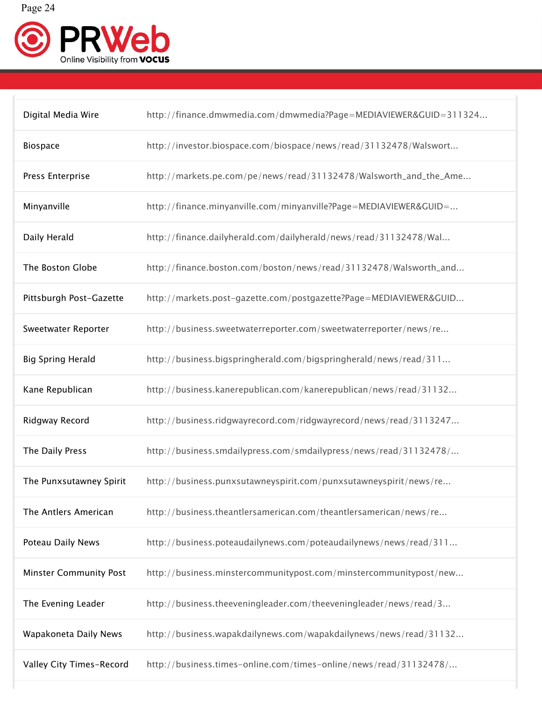

| Digital Media Wire            | http://finance.dmwmedia.com/dmwmedia?Page=MEDIAVIEWER&GUID=311324 |
|-------------------------------|-------------------------------------------------------------------|
| Biospace                      | http://investor.biospace.com/biospace/news/read/31132478/Walswort |
| Press Enterprise              | http://markets.pe.com/pe/news/read/31132478/Walsworth_and_the_Ame |
| Minyanville                   | http://finance.minyanville.com/minyanville?Page=MEDIAVIEWER&GUID= |
| Daily Herald                  | http://finance.dailyherald.com/dailyherald/news/read/31132478/Wal |
| The Boston Globe              | http://finance.boston.com/boston/news/read/31132478/Walsworth_and |
| Pittsburgh Post-Gazette       | http://markets.post-gazette.com/postgazette?Page=MEDIAVIEWER&GUID |
| Sweetwater Reporter           | http://business.sweetwaterreporter.com/sweetwaterreporter/news/re |
| <b>Big Spring Herald</b>      | http://business.bigspringherald.com/bigspringherald/news/read/311 |
| Kane Republican               | http://business.kanerepublican.com/kanerepublican/news/read/31132 |
| Ridgway Record                | http://business.ridgwayrecord.com/ridgwayrecord/news/read/3113247 |
| The Daily Press               | http://business.smdailypress.com/smdailypress/news/read/31132478/ |
| The Punxsutawney Spirit       | http://business.punxsutawneyspirit.com/punxsutawneyspirit/news/re |
| The Antlers American          | http://business.theantlersamerican.com/theantlersamerican/news/re |
| Poteau Daily News             | http://business.poteaudailynews.com/poteaudailynews/news/read/311 |
| <b>Minster Community Post</b> | http://business.minstercommunitypost.com/minstercommunitypost/new |
| The Evening Leader            | http://business.theeveningleader.com/theeveningleader/news/read/3 |
| Wapakoneta Daily News         | http://business.wapakdailynews.com/wapakdailynews/news/read/31132 |
| Valley City Times-Record      | http://business.times-online.com/times-online/news/read/31132478/ |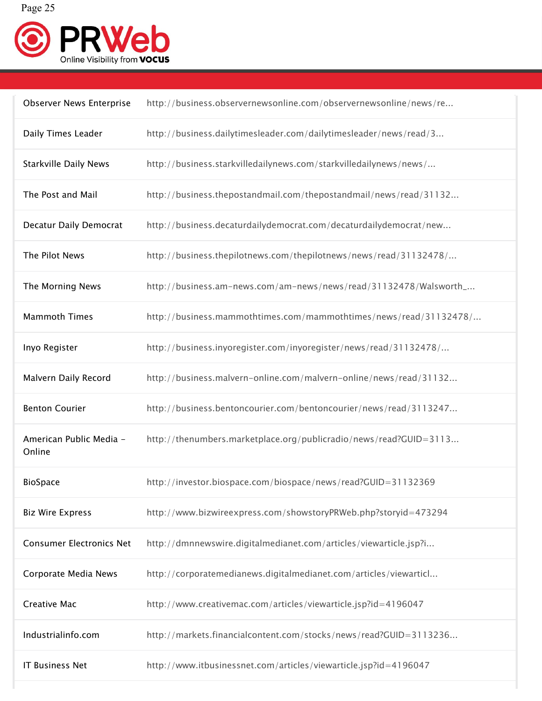

| <b>Observer News Enterprise</b>   | http://business.observernewsonline.com/observernewsonline/news/re |
|-----------------------------------|-------------------------------------------------------------------|
| Daily Times Leader                | http://business.dailytimesleader.com/dailytimesleader/news/read/3 |
| <b>Starkville Daily News</b>      | http://business.starkvilledailynews.com/starkvilledailynews/news/ |
| The Post and Mail                 | http://business.thepostandmail.com/thepostandmail/news/read/31132 |
| <b>Decatur Daily Democrat</b>     | http://business.decaturdailydemocrat.com/decaturdailydemocrat/new |
| The Pilot News                    | http://business.thepilotnews.com/thepilotnews/news/read/31132478/ |
| The Morning News                  | http://business.am-news.com/am-news/news/read/31132478/Walsworth_ |
| <b>Mammoth Times</b>              | http://business.mammothtimes.com/mammothtimes/news/read/31132478/ |
| Inyo Register                     | http://business.inyoregister.com/inyoregister/news/read/31132478/ |
| Malvern Daily Record              | http://business.malvern-online.com/malvern-online/news/read/31132 |
| <b>Benton Courier</b>             | http://business.bentoncourier.com/bentoncourier/news/read/3113247 |
| American Public Media -<br>Online | http://thenumbers.marketplace.org/publicradio/news/read?GUID=3113 |
| <b>BioSpace</b>                   | http://investor.biospace.com/biospace/news/read?GUID=31132369     |
| <b>Biz Wire Express</b>           | http://www.bizwireexpress.com/showstoryPRWeb.php?storyid=473294   |
| <b>Consumer Electronics Net</b>   | http://dmnnewswire.digitalmedianet.com/articles/viewarticle.jsp?i |
| Corporate Media News              | http://corporatemedianews.digitalmedianet.com/articles/viewarticl |
| <b>Creative Mac</b>               | http://www.creativemac.com/articles/viewarticle.jsp?id=4196047    |
| Industrialinfo.com                | http://markets.financialcontent.com/stocks/news/read?GUID=3113236 |
| <b>IT Business Net</b>            | http://www.itbusinessnet.com/articles/viewarticle.jsp?id=4196047  |